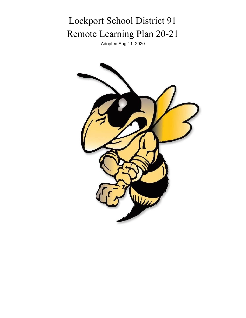# Lockport School District 91 Remote Learning Plan 20-21

Adopted Aug 11, 2020

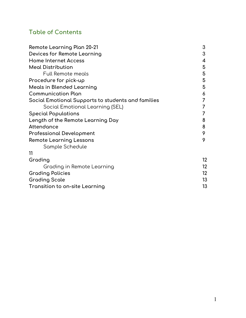### **Table of Contents**

| Remote Learning Plan 20-21                         |                 |  |
|----------------------------------------------------|-----------------|--|
| Devices for Remote Learning                        | 3               |  |
| <b>Home Internet Access</b>                        | 4               |  |
| <b>Meal Distribution</b>                           | 5               |  |
| <b>Full Remote meals</b>                           | 5               |  |
| Procedure for pick-up                              | 5               |  |
| <b>Meals in Blended Learning</b>                   | 5               |  |
| <b>Communication Plan</b>                          | 6               |  |
| Social Emotional Supports to students and families |                 |  |
| Social Emotional Learning (SEL)                    |                 |  |
| <b>Special Populations</b>                         |                 |  |
| Length of the Remote Learning Day                  |                 |  |
| Attendance                                         | 8               |  |
| Professional Development                           |                 |  |
| <b>Remote Learning Lessons</b>                     |                 |  |
| Sample Schedule                                    |                 |  |
| 11                                                 |                 |  |
| Grading                                            | 12 <sup>°</sup> |  |
| Grading in Remote Learning                         | 12              |  |
| <b>Grading Policies</b>                            | 12 <sup>2</sup> |  |
| <b>Grading Scale</b>                               | 13              |  |
| Transition to on-site Learning                     |                 |  |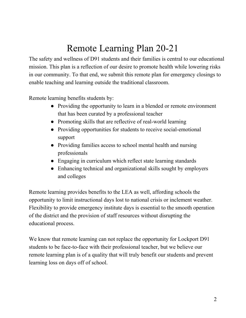## Remote Learning Plan 20-21

The safety and wellness of D91 students and their families is central to our educational mission. This plan is a reflection of our desire to promote health while lowering risks in our community. To that end, we submit this remote plan for emergency closings to enable teaching and learning outside the traditional classroom.

Remote learning benefits students by:

- Providing the opportunity to learn in a blended or remote environment that has been curated by a professional teacher
- Promoting skills that are reflective of real-world learning
- Providing opportunities for students to receive social-emotional support
- Providing families access to school mental health and nursing professionals
- Engaging in curriculum which reflect state learning standards
- Enhancing technical and organizational skills sought by employers and colleges

Remote learning provides benefits to the LEA as well, affording schools the opportunity to limit instructional days lost to national crisis or inclement weather. Flexibility to provide emergency institute days is essential to the smooth operation of the district and the provision of staff resources without disrupting the educational process.

We know that remote learning can not replace the opportunity for Lockport D91 students to be face-to-face with their professional teacher, but we believe our remote learning plan is of a quality that will truly benefit our students and prevent learning loss on days off of school.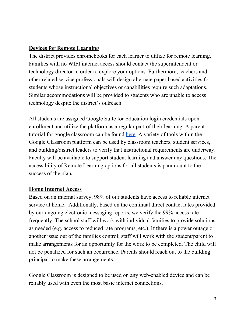#### **Devices for Remote Learning**

The district provides chromebooks for each learner to utilize for remote learning. Families with no WIFI internet access should contact the superintendent or technology director in order to explore your options. Furthermore, teachers and other related service professionals will design alternate paper based activities for students whose instructional objectives or capabilities require such adaptations. Similar accommodations will be provided to students who are unable to access technology despite the district's outreach.

All students are assigned Google Suite for Education login credentials upon enrollment and utilize the platform as a regular part of their learning. A parent tutorial for google classroom can be found [here.](https://www.youtube.com/watch?v=xfgqtCi7hdo) A variety of tools within the Google Classroom platform can be used by classroom teachers, student services, and building/district leaders to verify that instructional requirements are underway. Faculty will be available to support student learning and answer any questions. The accessibility of Remote Learning options for all students is paramount to the success of the plan**.**

#### **Home Internet Access**

Based on an internal survey, 98% of our students have access to reliable internet service at home. Additionally, based on the continual direct contact rates provided by our ongoing electronic messaging reports, we verify the 99% access rate frequently. The school staff will work with individual families to provide solutions as needed (e.g. access to reduced rate programs, etc.). If there is a power outage or another issue out of the families control; staff will work with the student/parent to make arrangements for an opportunity for the work to be completed. The child will not be penalized for such an occurrence. Parents should reach out to the building principal to make these arrangements.

Google Classroom is designed to be used on any web-enabled device and can be reliably used with even the most basic internet connections.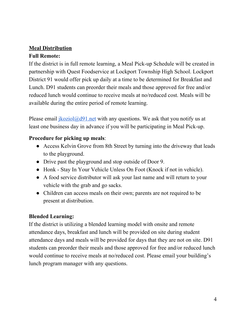#### **Meal Distribution Full Remote:**

If the district is in full remote learning, a Meal Pick-up Schedule will be created in partnership with Quest Foodservice at Lockport Township High School. Lockport District 91 would offer pick up daily at a time to be determined for Breakfast and Lunch. D91 students can preorder their meals and those approved for free and/or reduced lunch would continue to receive meals at no/reduced cost. Meals will be available during the entire period of remote learning.

Please email  $\frac{ikoziol(@d91.net}{m}$  with any questions. We ask that you notify us at least one business day in advance if you will be participating in Meal Pick-up.

#### **Procedure for picking up meals**:

- Access Kelvin Grove from 8th Street by turning into the driveway that leads to the playground.
- Drive past the playground and stop outside of Door 9.
- Honk Stay In Your Vehicle Unless On Foot (Knock if not in vehicle).
- A food service distributor will ask your last name and will return to your vehicle with the grab and go sacks.
- Children can access meals on their own; parents are not required to be present at distribution.

#### **Blended Learning:**

If the district is utilizing a blended learning model with onsite and remote attendance days, breakfast and lunch will be provided on site during student attendance days and meals will be provided for days that they are not on site. D91 students can preorder their meals and those approved for free and/or reduced lunch would continue to receive meals at no/reduced cost. Please email your building's lunch program manager with any questions.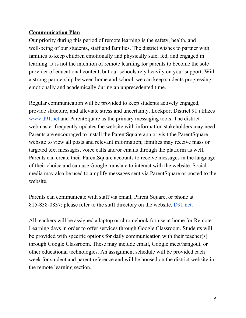#### **Communication Plan**

Our priority during this period of remote learning is the safety, health, and well-being of our students, staff and families. The district wishes to partner with families to keep children emotionally and physically safe, fed, and engaged in learning. It is not the intention of remote learning for parents to become the sole provider of educational content, but our schools rely heavily on your support. With a strong partnership between home and school, we can keep students progressing emotionally and academically during an unprecedented time.

Regular communication will be provided to keep students actively engaged, provide structure, and alleviate stress and uncertainty. Lockport District 91 utilizes [www.d91.net](http://www.d91.net/) and ParentSquare as the primary messaging tools. The district webmaster frequently updates the website with information stakeholders may need. Parents are encouraged to install the ParentSquare app or visit the ParentSquare website to view all posts and relevant information; families may receive mass or targeted text messages, voice calls and/or emails through the platform as well. Parents can create their ParentSquare accounts to receive messages in the language of their choice and can use Google translate to interact with the website. Social media may also be used to amplify messages sent via ParentSquare or posted to the website.

Parents can communicate with staff via email, Parent Square, or phone at 815-838-0837; please refer to the staff directory on the website, [D91.net.](http://d91.net/)

All teachers will be assigned a laptop or chromebook for use at home for Remote Learning days in order to offer services through Google Classroom. Students will be provided with specific options for daily communication with their teacher(s) through Google Classroom. These may include email, Google meet/hangout, or other educational technologies. An assignment schedule will be provided each week for student and parent reference and will be housed on the district website in the remote learning section.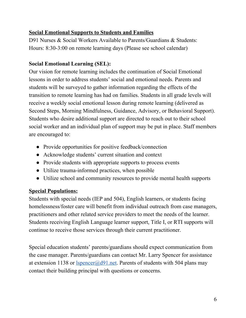#### **Social Emotional Supports to Students and Families**

D91 Nurses & Social Workers Available to Parents/Guardians & Students: Hours: 8:30-3:00 on remote learning days (Please see school calendar)

#### **Social Emotional Learning (SEL):**

Our vision for remote learning includes the continuation of Social Emotional lessons in order to address students' social and emotional needs. Parents and students will be surveyed to gather information regarding the effects of the transition to remote learning has had on families. Students in all grade levels will receive a weekly social emotional lesson during remote learning (delivered as Second Steps, Morning Mindfulness, Guidance, Advisory, or Behavioral Support). Students who desire additional support are directed to reach out to their school social worker and an individual plan of support may be put in place. Staff members are encouraged to:

- Provide opportunities for positive feedback/connection
- Acknowledge students' current situation and context
- Provide students with appropriate supports to process events
- Utilize trauma-informed practices, when possible
- Utilize school and community resources to provide mental health supports

#### **Special Populations:**

Students with special needs (IEP and 504), English learners, or students facing homelessness/foster care will benefit from individual outreach from case managers, practitioners and other related service providers to meet the needs of the learner. Students receiving English Language learner support, Title I, or RTI supports will continue to receive those services through their current practitioner.

Special education students' parents/guardians should expect communication from the case manager. Parents/guardians can contact Mr. Larry Spencer for assistance at extension 1138 or  $l<sub>s</sub>pencer@d91.net$ . Parents of students with 504 plans may contact their building principal with questions or concerns.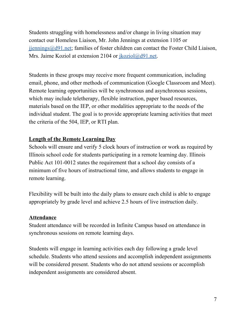Students struggling with homelessness and/or change in living situation may contact our Homeless Liaison, Mr. John Jennings at extension 1105 o[r](mailto:jjennings@d91.ne)  $ijennings@d91.net$ ; families of foster children can contact the Foster Child Liaison, Mrs. Jaime Koziol at extension 2104 or  $\frac{jkoziol(@d91.net.}{ikoziol(@d91.net.}$ 

Students in these groups may receive more frequent communication, including email, phone, and other methods of communication (Google Classroom and Meet). Remote learning opportunities will be synchronous and asynchronous sessions, which may include teletherapy, flexible instruction, paper based resources, materials based on the IEP, or other modalities appropriate to the needs of the individual student. The goal is to provide appropriate learning activities that meet the criteria of the 504, IEP, or RTI plan.

#### **Length of the Remote Learning Day**

Schools will ensure and verify 5 clock hours of instruction or work as required by Illinois school code for students participating in a remote learning day. Illinois Public Act 101-0012 states the requirement that a school day consists of a minimum of five hours of instructional time, and allows students to engage in remote learning.

Flexibility will be built into the daily plans to ensure each child is able to engage appropriately by grade level and achieve 2.5 hours of live instruction daily.

#### **Attendance**

Student attendance will be recorded in Infinite Campus based on attendance in synchronous sessions on remote learning days.

Students will engage in learning activities each day following a grade level schedule. Students who attend sessions and accomplish independent assignments will be considered present. Students who do not attend sessions or accomplish independent assignments are considered absent.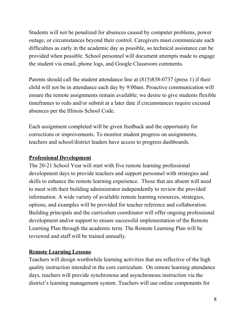Students will not be penalized for absences caused by computer problems, power outage, or circumstances beyond their control. Caregivers must communicate such difficulties as early in the academic day as possible, so technical assistance can be provided when possible. School personnel will document attempts made to engage the student via email, phone logs, and Google Classroom comments.

Parents should call the student attendance line at (815)838-0737 (press 1) if their child will not be in attendance each day by 9:00am. Proactive communication will ensure the remote assignments remain available; we desire to give students flexible timeframes to redo and/or submit at a later date if circumstances require excused absences per the Illinois School Code.

Each assignment completed will be given feedback and the opportunity for corrections or improvements. To monitor student progress on assignments, teachers and school/district leaders have access to progress dashboards.

#### **Professional Development**

The 20-21 School Year will start with five remote learning professional development days to provide teachers and support personnel with strategies and skills to enhance the remote learning experience. Those that are absent will need to meet with their building administrator independently to review the provided information. A wide variety of available remote learning resources, strategies, options, and examples will be provided for teacher reference and collaboration. Building principals and the curriculum coordinator will offer ongoing professional development and/or support to ensure successful implementation of the Remote Learning Plan through the academic term. The Remote Learning Plan will be reviewed and staff will be trained annually.

#### **Remote Learning Lessons**

Teachers will design worthwhile learning activities that are reflective of the high quality instruction intended in the core curriculum. On remote learning attendance days, teachers will provide synchronous and asynchronous instruction via the district's learning management system. Teachers will use online components for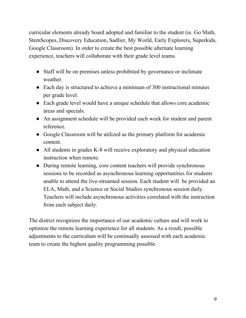curricular elements already board adopted and familiar to the student (ie. Go Math, StemScopes, Discovery Education, Sadlier, My World, Early Explorers, Superkids, Google Classroom). In order to create the best possible alternate learning experience, teachers will collaborate with their grade level teams.

- Staff will be on premises unless prohibited by governance or inclimate weather.
- Each day is structured to achieve a minimum of 300 instructional minutes per grade level.
- Each grade level would have a unique schedule that allows core academic areas and specials.
- An assignment schedule will be provided each week for student and parent reference.
- Google Classroom will be utilized as the primary platform for academic content.
- All students in grades K-8 will receive exploratory and physical education instruction when remote.
- During remote learning, core content teachers will provide synchronous sessions to be recorded as asynchronous learning opportunities for students unable to attend the live-streamed session. Each student will be provided an ELA, Math, and a Science or Social Studies synchronous session daily. Teachers will include asynchronous activities correlated with the instruction from each subject daily.

The district recognizes the importance of our academic culture and will work to optimize the remote learning experience for all students. As a result, possible adjustments to the curriculum will be continually assessed with each academic team to create the highest quality programming possible.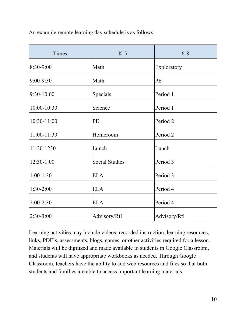An example remote learning day schedule is as follows:

| Times        | $K-5$                 | $6 - 8$      |
|--------------|-----------------------|--------------|
| 8:30-9:00    | Math                  | Exploratory  |
| 9:00-9:30    | Math                  | PE           |
| 9:30-10:00   | Specials              | Period 1     |
| 10:00-10:30  | Science               | Period 1     |
| 10:30-11:00  | <b>PE</b>             | Period 2     |
| 11:00-11:30  | Homeroom              | Period 2     |
| 11:30-1230   | Lunch                 | Lunch        |
| $12:30-1:00$ | <b>Social Studies</b> | Period 3     |
| $1:00-1:30$  | <b>ELA</b>            | Period 3     |
| $1:30-2:00$  | <b>ELA</b>            | Period 4     |
| $2:00-2:30$  | <b>ELA</b>            | Period 4     |
| $2:30-3:00$  | Advisory/RtI          | Advisory/RtI |

Learning activities may include videos, recorded instruction, learning resources, links, PDF's, assessments, blogs, games, or other activities required for a lesson. Materials will be digitized and made available to students in Google Classroom, and students will have appropriate workbooks as needed. Through Google Classroom, teachers have the ability to add web resources and files so that both students and families are able to access important learning materials.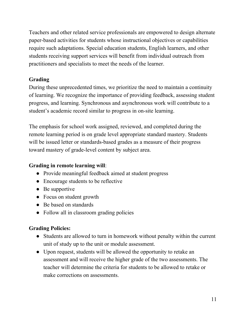Teachers and other related service professionals are empowered to design alternate paper-based activities for students whose instructional objectives or capabilities require such adaptations. Special education students, English learners, and other students receiving support services will benefit from individual outreach from practitioners and specialists to meet the needs of the learner.

#### **Grading**

During these unprecedented times, we prioritize the need to maintain a continuity of learning. We recognize the importance of providing feedback, assessing student progress, and learning. Synchronous and asynchronous work will contribute to a student's academic record similar to progress in on-site learning.

The emphasis for school work assigned, reviewed, and completed during the remote learning period is on grade level appropriate standard mastery. Students will be issued letter or standards-based grades as a measure of their progress toward mastery of grade-level content by subject area.

#### **Grading in remote learning will**:

- Provide meaningful feedback aimed at student progress
- Encourage students to be reflective
- $\bullet$  Be supportive
- Focus on student growth
- Be based on standards
- Follow all in classroom grading policies

#### **Grading Policies:**

- Students are allowed to turn in homework without penalty within the current unit of study up to the unit or module assessment.
- Upon request, students will be allowed the opportunity to retake an assessment and will receive the higher grade of the two assessments. The teacher will determine the criteria for students to be allowed to retake or make corrections on assessments.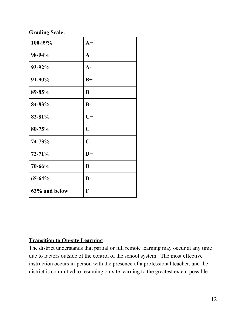#### **Grading Scale:**

| 100-99%       | $A+$           |
|---------------|----------------|
| 98-94%        | $\mathbf{A}$   |
| 93-92%        | $A-$           |
| 91-90%        | $B+$           |
| 89-85%        | B              |
| 84-83%        | $B-$           |
| 82-81%        | $C+$           |
| 80-75%        | $\overline{C}$ |
| 74-73%        | $C-$           |
| $72 - 71%$    | $D+$           |
| 70-66%        | D              |
| 65-64%        | $\mathbf{D}$   |
| 63% and below | F              |

#### **Transition to On-site Learning**

The district understands that partial or full remote learning may occur at any time due to factors outside of the control of the school system. The most effective instruction occurs in-person with the presence of a professional teacher, and the district is committed to resuming on-site learning to the greatest extent possible.